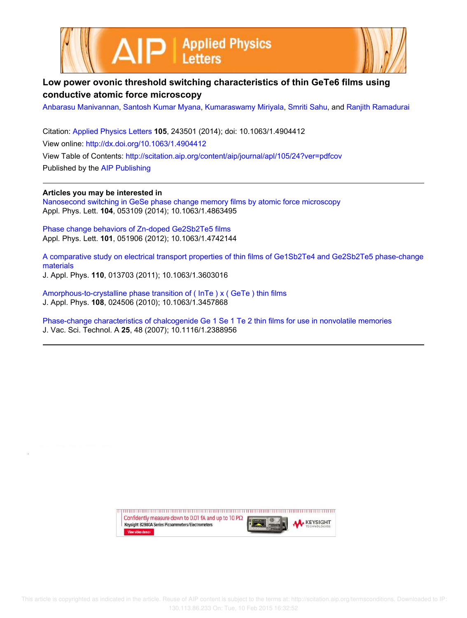



## **Low power ovonic threshold switching characteristics of thin GeTe6 films using conductive atomic force microscopy**

Anbarasu Manivannan, Santosh Kumar Myana, Kumaraswamy Miriyala, Smriti Sahu, and Ranjith Ramadurai

Citation: Applied Physics Letters **105**, 243501 (2014); doi: 10.1063/1.4904412 View online: http://dx.doi.org/10.1063/1.4904412 View Table of Contents: http://scitation.aip.org/content/aip/journal/apl/105/24?ver=pdfcov Published by the AIP Publishing

**Articles you may be interested in** Nanosecond switching in GeSe phase change memory films by atomic force microscopy Appl. Phys. Lett. **104**, 053109 (2014); 10.1063/1.4863495

Phase change behaviors of Zn-doped Ge2Sb2Te5 films Appl. Phys. Lett. **101**, 051906 (2012); 10.1063/1.4742144

A comparative study on electrical transport properties of thin films of Ge1Sb2Te4 and Ge2Sb2Te5 phase-change materials

J. Appl. Phys. **110**, 013703 (2011); 10.1063/1.3603016

Amorphous-to-crystalline phase transition of ( InTe ) x ( GeTe ) thin films J. Appl. Phys. **108**, 024506 (2010); 10.1063/1.3457868

Phase-change characteristics of chalcogenide Ge 1 Se 1 Te 2 thin films for use in nonvolatile memories J. Vac. Sci. Technol. A **25**, 48 (2007); 10.1116/1.2388956

> Confidently measure down to 0.01 fA and up to 10  $P\Omega$ **KEYSIGHT** Keysight B2980A Series Picoammeters/Electrometers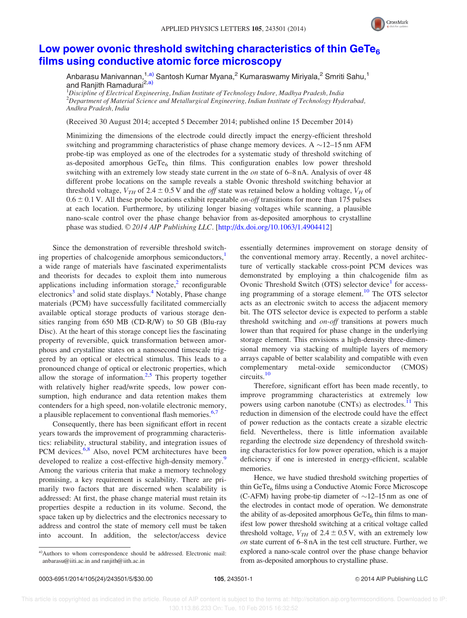

## Low power ovonic threshold switching characteristics of thin GeTe<sub>6</sub> films using conductive atomic force microscopy

Anbarasu Manivannan,<sup>1,a)</sup> Santosh Kumar Myana,<sup>2</sup> Kumaraswamy Miriyala,<sup>2</sup> Smriti Sahu,<sup>1</sup> and Ranjith Ramadurai<sup>2,a)</sup>

 $^1$ Discipline of Electrical Engineering, Indian Institute of Technology Indore, Madhya Pradesh, India  ${}^{2}$ Department of Material Science and Metallurgical Engineering, Indian Institute of Technology Hyderabad, Andhra Pradesh, India

(Received 30 August 2014; accepted 5 December 2014; published online 15 December 2014)

Minimizing the dimensions of the electrode could directly impact the energy-efficient threshold switching and programming characteristics of phase change memory devices. A  $\sim$  12–15 nm AFM probe-tip was employed as one of the electrodes for a systematic study of threshold switching of as-deposited amorphous  $GeTe<sub>6</sub>$  thin films. This configuration enables low power threshold switching with an extremely low steady state current in the on state of 6–8 nA. Analysis of over 48 different probe locations on the sample reveals a stable Ovonic threshold switching behavior at threshold voltage,  $V_{TH}$  of 2.4  $\pm$  0.5 V and the *off* state was retained below a holding voltage,  $V_H$  of  $0.6 \pm 0.1$  V. All these probe locations exhibit repeatable *on-off* transitions for more than 175 pulses at each location. Furthermore, by utilizing longer biasing voltages while scanning, a plausible nano-scale control over the phase change behavior from as-deposited amorphous to crystalline phase was studied. © 2014 AIP Publishing LLC. [http://dx.doi.org/10.1063/1.4904412]

Since the demonstration of reversible threshold switching properties of chalcogenide amorphous semiconductors,<sup>1</sup> a wide range of materials have fascinated experimentalists and theorists for decades to exploit them into numerous applications including information storage, $2$  reconfigurable electronics<sup>3</sup> and solid state displays.<sup>4</sup> Notably, Phase change materials (PCM) have successfully facilitated commercially available optical storage products of various storage densities ranging from 650 MB (CD-R/W) to 50 GB (Blu-ray Disc). At the heart of this storage concept lies the fascinating property of reversible, quick transformation between amorphous and crystalline states on a nanosecond timescale triggered by an optical or electrical stimulus. This leads to a pronounced change of optical or electronic properties, which allow the storage of information.<sup>2,5</sup> This property together with relatively higher read/write speeds, low power consumption, high endurance and data retention makes them contenders for a high speed, non-volatile electronic memory, a plausible replacement to conventional flash memories.<sup>6,7</sup>

Consequently, there has been significant effort in recent years towards the improvement of programming characteristics: reliability, structural stability, and integration issues of PCM devices.<sup>6,8</sup> Also, novel PCM architectures have been developed to realize a cost-effective high-density memory. Among the various criteria that make a memory technology promising, a key requirement is scalability. There are primarily two factors that are discerned when scalability is addressed: At first, the phase change material must retain its properties despite a reduction in its volume. Second, the space taken up by dielectrics and the electronics necessary to address and control the state of memory cell must be taken into account. In addition, the selector/access device

a)Authors to whom correspondence should be addressed. Electronic mail: anbarasu@iiti.ac.in and ranjith@iith.ac.in

essentially determines improvement on storage density of the conventional memory array. Recently, a novel architecture of vertically stackable cross-point PCM devices was demonstrated by employing a thin chalcogenide film as Ovonic Threshold Switch (OTS) selector device<sup>1</sup> for accessing programming of a storage element.<sup>10</sup> The OTS selector acts as an electronic switch to access the adjacent memory bit. The OTS selector device is expected to perform a stable threshold switching and on-off transitions at powers much lower than that required for phase change in the underlying storage element. This envisions a high-density three-dimensional memory via stacking of multiple layers of memory arrays capable of better scalability and compatible with even complementary metal-oxide semiconductor (CMOS) circuits.<sup>10</sup>

Therefore, significant effort has been made recently, to improve programming characteristics at extremely low powers using carbon nanotube (CNTs) as electrodes.<sup>11</sup> This reduction in dimension of the electrode could have the effect of power reduction as the contacts create a sizable electric field. Nevertheless, there is little information available regarding the electrode size dependency of threshold switching characteristics for low power operation, which is a major deficiency if one is interested in energy-efficient, scalable memories.

Hence, we have studied threshold switching properties of thin  $GeTe<sub>6</sub>$  films using a Conductive Atomic Force Microscope (C-AFM) having probe-tip diameter of  $\sim$ 12–15 nm as one of the electrodes in contact mode of operation. We demonstrate the ability of as-deposited amorphous  $GeTe<sub>6</sub>$  thin films to manifest low power threshold switching at a critical voltage called threshold voltage,  $V_{TH}$  of 2.4  $\pm$  0.5 V, with an extremely low on state current of 6–8 nA in the test cell structure. Further, we explored a nano-scale control over the phase change behavior from as-deposited amorphous to crystalline phase.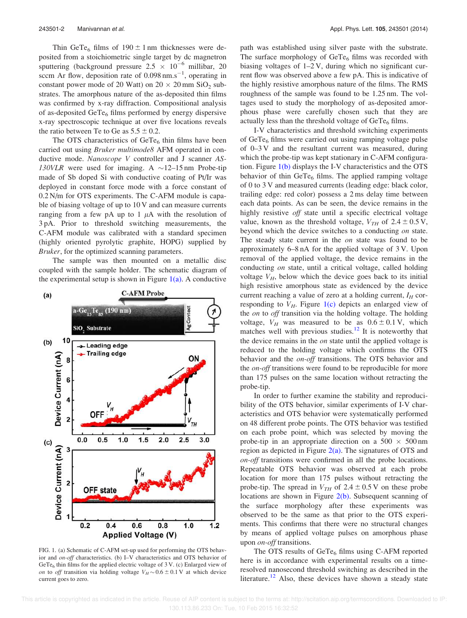Thin GeTe<sub>6</sub> films of  $190 \pm 1$  nm thicknesses were deposited from a stoichiometric single target by dc magnetron sputtering (background pressure  $2.5 \times 10^{-6}$  millibar, 20 sccm Ar flow, deposition rate of  $0.098 \text{ nm.s}^{-1}$ , operating in constant power mode of 20 Watt) on  $20 \times 20$  mm SiO<sub>2</sub> substrates. The amorphous nature of the as-deposited thin films was confirmed by x-ray diffraction. Compositional analysis of as-deposited  $GeTe_6$  films performed by energy dispersive x-ray spectroscopic technique at over five locations reveals the ratio between Te to Ge as  $5.5 \pm 0.2$ .

The OTS characteristics of  $GeTe<sub>6</sub>$  thin films have been carried out using Bruker multimode8 AFM operated in conductive mode. Nanoscope V controller and J scanner AS-130VLR were used for imaging. A  $\sim$ 12-15 nm Probe-tip made of Sb doped Si with conductive coating of Pt/Ir was deployed in constant force mode with a force constant of 0.2 N/m for OTS experiments. The C-AFM module is capable of biasing voltage of up to 10 V and can measure currents ranging from a few pA up to 1  $\mu$ A with the resolution of 3 pA. Prior to threshold switching measurements, the C-AFM module was calibrated with a standard specimen (highly oriented pyrolytic graphite, HOPG) supplied by Bruker, for the optimized scanning parameters.

The sample was then mounted on a metallic disc coupled with the sample holder. The schematic diagram of the experimental setup is shown in Figure  $1(a)$ . A conductive



FIG. 1. (a) Schematic of C-AFM set-up used for performing the OTS behavior and on-off characteristics. (b) I–V characteristics and OTS behavior of GeTe<sub>6</sub> thin films for the applied electric voltage of  $3$  V. (c) Enlarged view of on to off transition via holding voltage  $V_H \sim 0.6 \pm 0.1$  V at which device current goes to zero.

path was established using silver paste with the substrate. The surface morphology of  $Ger_{6}$  films was recorded with biasing voltages of 1–2 V, during which no significant current flow was observed above a few pA. This is indicative of the highly resistive amorphous nature of the films. The RMS roughness of the sample was found to be 1.25 nm. The voltages used to study the morphology of as-deposited amorphous phase were carefully chosen such that they are actually less than the threshold voltage of  $GeTe<sub>6</sub>$  films.

I-V characteristics and threshold switching experiments of  $GeTe<sub>6</sub>$  films were carried out using ramping voltage pulse of 0–3 V and the resultant current was measured, during which the probe-tip was kept stationary in C-AFM configuration. Figure 1(b) displays the I-V characteristics and the OTS behavior of thin  $Ger_{6}$  films. The applied ramping voltage of 0 to 3 V and measured currents (leading edge: black color, trailing edge: red color) possess a 2 ms delay time between each data points. As can be seen, the device remains in the highly resistive off state until a specific electrical voltage value, known as the threshold voltage,  $V_{TH}$  of  $2.4 \pm 0.5$  V, beyond which the device switches to a conducting on state. The steady state current in the *on* state was found to be approximately 6–8 nA for the applied voltage of 3 V. Upon removal of the applied voltage, the device remains in the conducting on state, until a critical voltage, called holding voltage  $V_H$ , below which the device goes back to its initial high resistive amorphous state as evidenced by the device current reaching a value of zero at a holding current,  $I_H$  corresponding to  $V_H$ . Figure 1(c) depicts an enlarged view of the on to off transition via the holding voltage. The holding voltage,  $V_H$  was measured to be as  $0.6 \pm 0.1$  V, which matches well with previous studies. $^{12}$  It is noteworthy that the device remains in the on state until the applied voltage is reduced to the holding voltage which confirms the OTS behavior and the on-off transitions. The OTS behavior and the *on-off* transitions were found to be reproducible for more than 175 pulses on the same location without retracting the probe-tip.

In order to further examine the stability and reproducibility of the OTS behavior, similar experiments of I-V characteristics and OTS behavior were systematically performed on 48 different probe points. The OTS behavior was testified on each probe point, which was selected by moving the probe-tip in an appropriate direction on a  $500 \times 500$  nm region as depicted in Figure  $2(a)$ . The signatures of OTS and on-off transitions were confirmed in all the probe locations. Repeatable OTS behavior was observed at each probe location for more than 175 pulses without retracting the probe-tip. The spread in  $V_{TH}$  of 2.4  $\pm$  0.5 V on these probe locations are shown in Figure 2(b). Subsequent scanning of the surface morphology after these experiments was observed to be the same as that prior to the OTS experiments. This confirms that there were no structural changes by means of applied voltage pulses on amorphous phase upon *on-off* transitions.

The OTS results of  $GeTe_6$  films using C-AFM reported here is in accordance with experimental results on a timeresolved nanosecond threshold switching as described in the literature.<sup>12</sup> Also, these devices have shown a steady state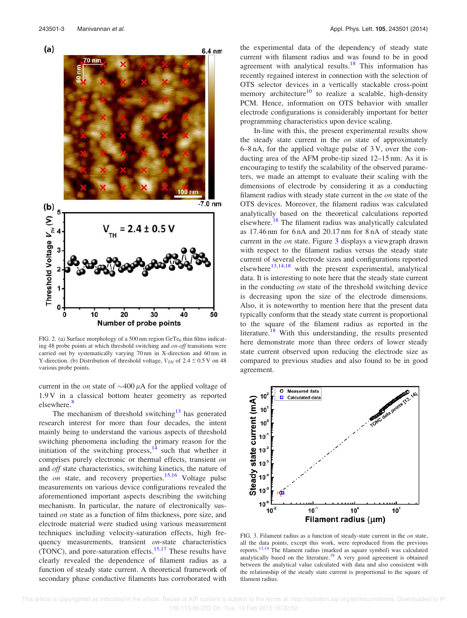

FIG. 2. (a) Surface morphology of a 500 nm region GeTe<sub>6</sub> thin films indicating 48 probe points at which threshold switching and on-off transitions were carried out by systematically varying 70 nm in X-direction and 60 nm in Y-direction. (b) Distribution of threshold voltage,  $V_{TH}$  of 2.4  $\pm$  0.5 V on 48 various probe points.

current in the on state of  $\sim$  400  $\mu$ A for the applied voltage of 1.9 V in a classical bottom heater geometry as reported elsewhere.<sup>8</sup>

The mechanism of threshold switching<sup>13</sup> has generated research interest for more than four decades, the intent mainly being to understand the various aspects of threshold switching phenomena including the primary reason for the initiation of the switching process,  $14$  such that whether it comprises purely electronic or thermal effects, transient on and off state characteristics, switching kinetics, the nature of the *on* state, and recovery properties.<sup>15,16</sup> Voltage pulse measurements on various device configurations revealed the aforementioned important aspects describing the switching mechanism. In particular, the nature of electronically sustained on state as a function of film thickness, pore size, and electrode material were studied using various measurement techniques including velocity-saturation effects, high frequency measurements, transient on-state characteristics (TONC), and pore-saturation effects.<sup>15,17</sup> These results have clearly revealed the dependence of filament radius as a function of steady state current. A theoretical framework of secondary phase conductive filaments has corroborated with the experimental data of the dependency of steady state current with filament radius and was found to be in good agreement with analytical results.<sup>18</sup> This information has recently regained interest in connection with the selection of OTS selector devices in a vertically stackable cross-point memory architecture<sup>10</sup> to realize a scalable, high-density PCM. Hence, information on OTS behavior with smaller electrode configurations is considerably important for better programming characteristics upon device scaling.

In-line with this, the present experimental results show the steady state current in the on state of approximately 6–8 nA, for the applied voltage pulse of 3 V, over the conducting area of the AFM probe-tip sized 12–15 nm. As it is encouraging to testify the scalability of the observed parameters, we made an attempt to evaluate their scaling with the dimensions of electrode by considering it as a conducting filament radius with steady state current in the on state of the OTS devices. Moreover, the filament radius was calculated analytically based on the theoretical calculations reported elsewhere.<sup>18</sup> The filament radius was analytically calculated as 17.46 nm for 6 nA and 20.17 nm for 8 nA of steady state current in the on state. Figure 3 displays a viewgraph drawn with respect to the filament radius versus the steady state current of several electrode sizes and configurations reported elsewhere $^{13,14,18}$  with the present experimental, analytical data. It is interesting to note here that the steady state current in the conducting on state of the threshold switching device is decreasing upon the size of the electrode dimensions. Also, it is noteworthy to mention here that the present data typically conform that the steady state current is proportional to the square of the filament radius as reported in the literature.<sup>18</sup> With this understanding, the results presented here demonstrate more than three orders of lower steady state current observed upon reducing the electrode size as compared to previous studies and also found to be in good agreement.



FIG. 3. Filament radius as a function of steady-state current in the on state, all the data points, except this work, were reproduced from the previous reports.13,14 The filament radius (marked as square symbol) was calculated analytically based on the literature.<sup>18</sup> A very good agreement is obtained between the analytical value calculated with data and also consistent with the relationship of the steady state current is proportional to the square of filament radius.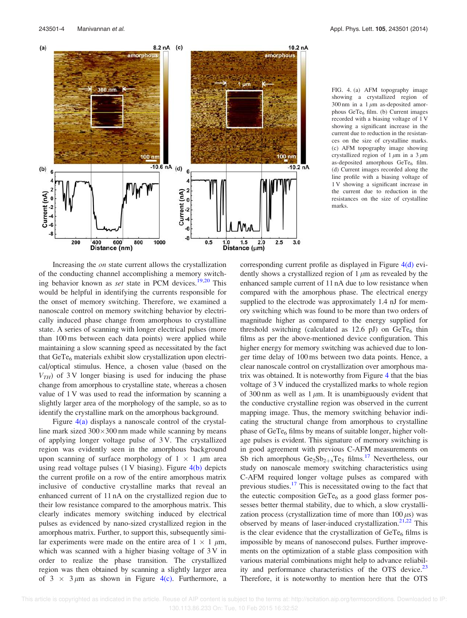

FIG. 4. (a) AFM topography image showing a crystallized region of 300 nm in a 1  $\mu$ m as-deposited amorphous GeTe<sub>6</sub> film. (b) Current images recorded with a biasing voltage of 1 V showing a significant increase in the current due to reduction in the resistances on the size of crystalline marks. (c) AFM topography image showing crystallized region of  $1 \mu m$  in a  $3 \mu m$ as-deposited amorphous  $GeTe<sub>6</sub>$  film. (d) Current images recorded along the line profile with a biasing voltage of 1 V showing a significant increase in the current due to reduction in the resistances on the size of crystalline marks.

Increasing the *on* state current allows the crystallization of the conducting channel accomplishing a memory switching behavior known as set state in PCM devices.<sup>19,20</sup> This would be helpful in identifying the currents responsible for the onset of memory switching. Therefore, we examined a nanoscale control on memory switching behavior by electrically induced phase change from amorphous to crystalline state. A series of scanning with longer electrical pulses (more than 100 ms between each data points) were applied while maintaining a slow scanning speed as necessitated by the fact that  $GeTe<sub>6</sub>$  materials exhibit slow crystallization upon electrical/optical stimulus. Hence, a chosen value (based on the  $V<sub>TH</sub>$ ) of 3 V longer biasing is used for inducing the phase change from amorphous to crystalline state, whereas a chosen value of 1 V was used to read the information by scanning a slightly larger area of the morphology of the sample, so as to identify the crystalline mark on the amorphous background.

Figure 4(a) displays a nanoscale control of the crystalline mark sized  $300\times300$  nm made while scanning by means of applying longer voltage pulse of 3 V. The crystallized region was evidently seen in the amorphous background upon scanning of surface morphology of  $1 \times 1$   $\mu$ m area using read voltage pulses (1 V biasing). Figure 4(b) depicts the current profile on a row of the entire amorphous matrix inclusive of conductive crystalline marks that reveal an enhanced current of 11 nA on the crystallized region due to their low resistance compared to the amorphous matrix. This clearly indicates memory switching induced by electrical pulses as evidenced by nano-sized crystallized region in the amorphous matrix. Further, to support this, subsequently similar experiments were made on the entire area of  $1 \times 1 \mu m$ , which was scanned with a higher biasing voltage of 3 V in order to realize the phase transition. The crystallized region was then obtained by scanning a slightly larger area of  $3 \times 3 \mu m$  as shown in Figure 4(c). Furthermore, a corresponding current profile as displayed in Figure 4(d) evidently shows a crystallized region of  $1 \mu m$  as revealed by the enhanced sample current of 11 nA due to low resistance when compared with the amorphous phase. The electrical energy supplied to the electrode was approximately 1.4 nJ for memory switching which was found to be more than two orders of magnitude higher as compared to the energy supplied for threshold switching (calculated as  $12.6$  pJ) on  $GeTe_6$  thin films as per the above-mentioned device configuration. This higher energy for memory switching was achieved due to longer time delay of 100 ms between two data points. Hence, a clear nanoscale control on crystallization over amorphous matrix was obtained. It is noteworthy from Figure 4 that the bias voltage of 3 V induced the crystallized marks to whole region of 300 nm as well as  $1 \mu m$ . It is unambiguously evident that the conductive crystalline region was observed in the current mapping image. Thus, the memory switching behavior indicating the structural change from amorphous to crystalline phase of  $GeTe_6$  films by means of suitable longer, higher voltage pulses is evident. This signature of memory switching is in good agreement with previous C-AFM measurements on Sb rich amorphous  $Ge_2Sb_{2+x}Te_5$  films.<sup>17</sup> Nevertheless, our study on nanoscale memory switching characteristics using C-AFM required longer voltage pulses as compared with previous studies.<sup>17</sup> This is necessitated owing to the fact that the eutectic composition  $Ger_{6}$  as a good glass former possesses better thermal stability, due to which, a slow crystallization process (crystallization time of more than  $100 \,\mu s$ ) was observed by means of laser-induced crystallization.<sup>21,22</sup> This is the clear evidence that the crystallization of  $GeTe<sub>6</sub>$  films is impossible by means of nanosecond pulses. Further improvements on the optimization of a stable glass composition with various material combinations might help to advance reliability and performance characteristics of the OTS device.<sup>23</sup> Therefore, it is noteworthy to mention here that the OTS